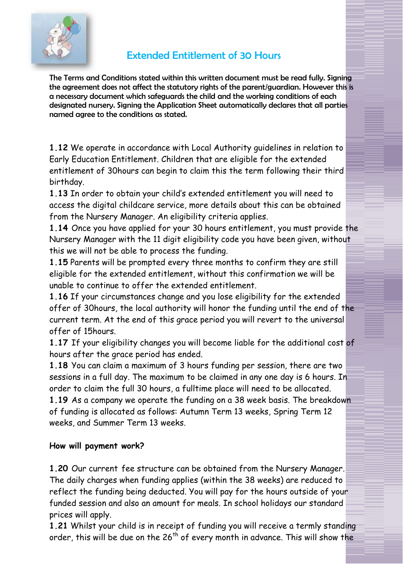

## Extended Entitlement of 30 Hours

The Terms and Conditions stated within this written document must be read fully. Signing the agreement does not affect the statutory rights of the parent/guardian. However this is a necessary document which safeguards the child and the working conditions of each designated nursery. Signing the Application Sheet automatically declares that all parties named agree to the conditions as stated.

**1.12** We operate in accordance with Local Authority guidelines in relation to Early Education Entitlement. Children that are eligible for the extended entitlement of 30hours can begin to claim this the term following their third birthday.

**1.13** In order to obtain your child's extended entitlement you will need to access the digital childcare service, more details about this can be obtained from the Nursery Manager. An eligibility criteria applies.

**1.14** Once you have applied for your 30 hours entitlement, you must provide the Nursery Manager with the 11 digit eligibility code you have been given, without this we will not be able to process the funding.

**1.15** Parents will be prompted every three months to confirm they are still eligible for the extended entitlement, without this confirmation we will be unable to continue to offer the extended entitlement.

**1.16** If your circumstances change and you lose eligibility for the extended offer of 30hours, the local authority will honor the funding until the end of the current term. At the end of this grace period you will revert to the universal offer of 15hours.

**1.17** If your eligibility changes you will become liable for the additional cost of hours after the grace period has ended.

**1.18** You can claim a maximum of 3 hours funding per session, there are two sessions in a full day. The maximum to be claimed in any one day is 6 hours. In order to claim the full 30 hours, a fulltime place will need to be allocated.

**1.19** As a company we operate the funding on a 38 week basis. The breakdown of funding is allocated as follows: Autumn Term 13 weeks, Spring Term 12 weeks, and Summer Term 13 weeks.

## **How will payment work?**

**1.20** Our current fee structure can be obtained from the Nursery Manager. The daily charges when funding applies (within the 38 weeks) are reduced to reflect the funding being deducted. You will pay for the hours outside of your funded session and also an amount for meals. In school holidays our standard prices will apply.

**1.21** Whilst your child is in receipt of funding you will receive a termly standing order, this will be due on the  $26<sup>th</sup>$  of every month in advance. This will show the